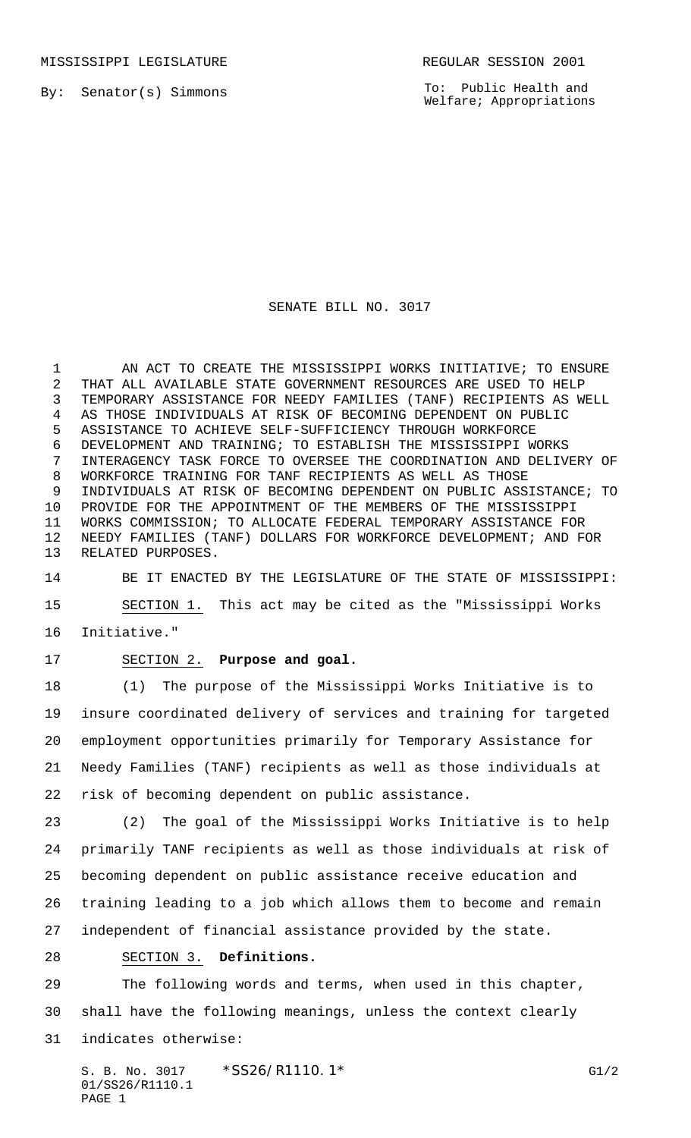By: Senator(s) Simmons

To: Public Health and Welfare; Appropriations

## SENATE BILL NO. 3017

1 AN ACT TO CREATE THE MISSISSIPPI WORKS INITIATIVE; TO ENSURE THAT ALL AVAILABLE STATE GOVERNMENT RESOURCES ARE USED TO HELP TEMPORARY ASSISTANCE FOR NEEDY FAMILIES (TANF) RECIPIENTS AS WELL AS THOSE INDIVIDUALS AT RISK OF BECOMING DEPENDENT ON PUBLIC ASSISTANCE TO ACHIEVE SELF-SUFFICIENCY THROUGH WORKFORCE DEVELOPMENT AND TRAINING; TO ESTABLISH THE MISSISSIPPI WORKS INTERAGENCY TASK FORCE TO OVERSEE THE COORDINATION AND DELIVERY OF WORKFORCE TRAINING FOR TANF RECIPIENTS AS WELL AS THOSE INDIVIDUALS AT RISK OF BECOMING DEPENDENT ON PUBLIC ASSISTANCE; TO PROVIDE FOR THE APPOINTMENT OF THE MEMBERS OF THE MISSISSIPPI WORKS COMMISSION; TO ALLOCATE FEDERAL TEMPORARY ASSISTANCE FOR NEEDY FAMILIES (TANF) DOLLARS FOR WORKFORCE DEVELOPMENT; AND FOR RELATED PURPOSES.

 BE IT ENACTED BY THE LEGISLATURE OF THE STATE OF MISSISSIPPI: SECTION 1. This act may be cited as the "Mississippi Works Initiative."

SECTION 2. **Purpose and goal.**

 (1) The purpose of the Mississippi Works Initiative is to insure coordinated delivery of services and training for targeted employment opportunities primarily for Temporary Assistance for Needy Families (TANF) recipients as well as those individuals at risk of becoming dependent on public assistance.

 (2) The goal of the Mississippi Works Initiative is to help primarily TANF recipients as well as those individuals at risk of becoming dependent on public assistance receive education and training leading to a job which allows them to become and remain independent of financial assistance provided by the state.

SECTION 3. **Definitions.**

 The following words and terms, when used in this chapter, shall have the following meanings, unless the context clearly indicates otherwise: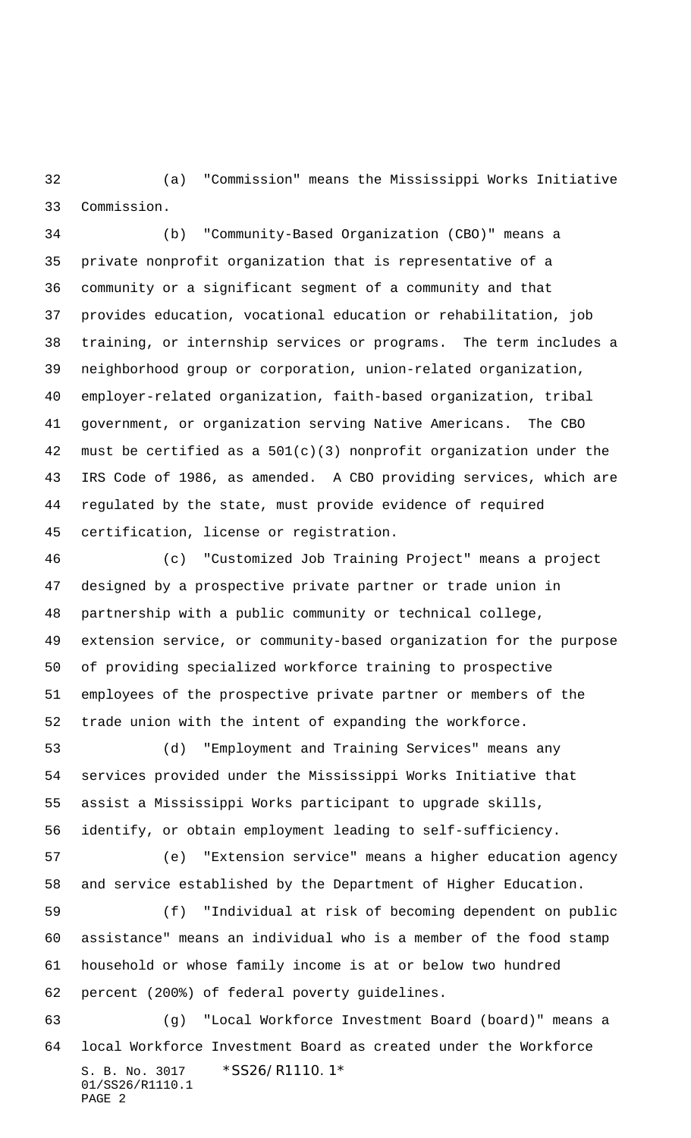(a) "Commission" means the Mississippi Works Initiative Commission.

 (b) "Community-Based Organization (CBO)" means a private nonprofit organization that is representative of a community or a significant segment of a community and that provides education, vocational education or rehabilitation, job training, or internship services or programs. The term includes a neighborhood group or corporation, union-related organization, employer-related organization, faith-based organization, tribal government, or organization serving Native Americans. The CBO must be certified as a 501(c)(3) nonprofit organization under the IRS Code of 1986, as amended. A CBO providing services, which are regulated by the state, must provide evidence of required certification, license or registration.

 (c) "Customized Job Training Project" means a project designed by a prospective private partner or trade union in partnership with a public community or technical college, extension service, or community-based organization for the purpose of providing specialized workforce training to prospective employees of the prospective private partner or members of the trade union with the intent of expanding the workforce.

 (d) "Employment and Training Services" means any services provided under the Mississippi Works Initiative that assist a Mississippi Works participant to upgrade skills, identify, or obtain employment leading to self-sufficiency.

 (e) "Extension service" means a higher education agency and service established by the Department of Higher Education.

 (f) "Individual at risk of becoming dependent on public assistance" means an individual who is a member of the food stamp household or whose family income is at or below two hundred percent (200%) of federal poverty guidelines.

S. B. No. 3017 \*SS26/R1110.1\* 01/SS26/R1110.1 PAGE 2 (g) "Local Workforce Investment Board (board)" means a local Workforce Investment Board as created under the Workforce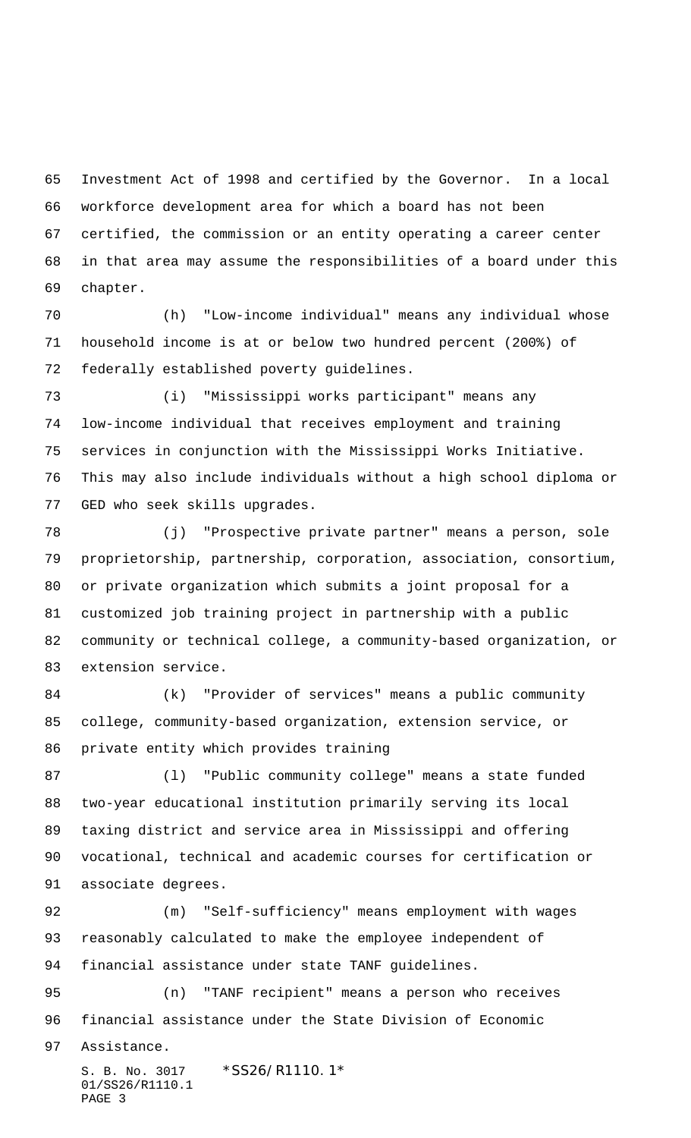Investment Act of 1998 and certified by the Governor. In a local workforce development area for which a board has not been certified, the commission or an entity operating a career center in that area may assume the responsibilities of a board under this chapter.

 (h) "Low-income individual" means any individual whose household income is at or below two hundred percent (200%) of federally established poverty guidelines.

 (i) "Mississippi works participant" means any low-income individual that receives employment and training services in conjunction with the Mississippi Works Initiative. This may also include individuals without a high school diploma or GED who seek skills upgrades.

 (j) "Prospective private partner" means a person, sole proprietorship, partnership, corporation, association, consortium, or private organization which submits a joint proposal for a customized job training project in partnership with a public community or technical college, a community-based organization, or extension service.

 (k) "Provider of services" means a public community college, community-based organization, extension service, or private entity which provides training

 (l) "Public community college" means a state funded two-year educational institution primarily serving its local taxing district and service area in Mississippi and offering vocational, technical and academic courses for certification or associate degrees.

 (m) "Self-sufficiency" means employment with wages reasonably calculated to make the employee independent of financial assistance under state TANF guidelines.

 (n) "TANF recipient" means a person who receives financial assistance under the State Division of Economic

Assistance.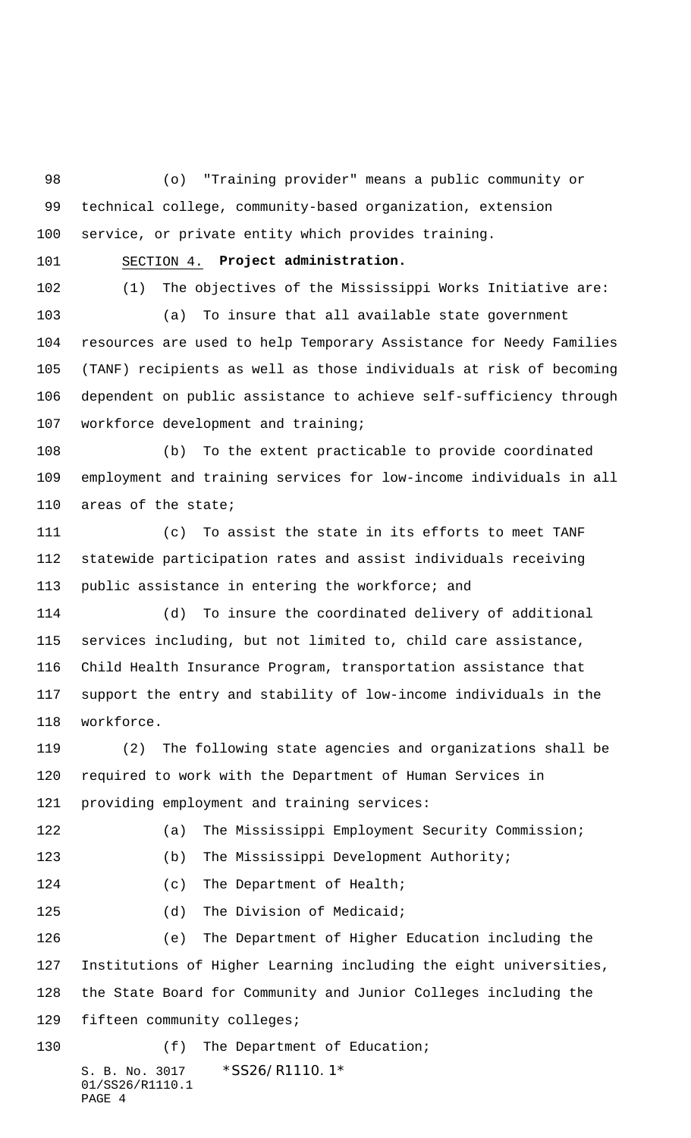(o) "Training provider" means a public community or technical college, community-based organization, extension service, or private entity which provides training.

SECTION 4. **Project administration.**

 (1) The objectives of the Mississippi Works Initiative are: (a) To insure that all available state government resources are used to help Temporary Assistance for Needy Families (TANF) recipients as well as those individuals at risk of becoming dependent on public assistance to achieve self-sufficiency through workforce development and training;

 (b) To the extent practicable to provide coordinated employment and training services for low-income individuals in all areas of the state;

 (c) To assist the state in its efforts to meet TANF statewide participation rates and assist individuals receiving public assistance in entering the workforce; and

 (d) To insure the coordinated delivery of additional services including, but not limited to, child care assistance, Child Health Insurance Program, transportation assistance that support the entry and stability of low-income individuals in the workforce.

 (2) The following state agencies and organizations shall be required to work with the Department of Human Services in providing employment and training services:

S. B. No. 3017 \* SS26/R1110.1\* (a) The Mississippi Employment Security Commission; (b) The Mississippi Development Authority; 124 (c) The Department of Health; 125 (d) The Division of Medicaid; (e) The Department of Higher Education including the Institutions of Higher Learning including the eight universities, the State Board for Community and Junior Colleges including the fifteen community colleges; 130 (f) The Department of Education;

01/SS26/R1110.1 PAGE 4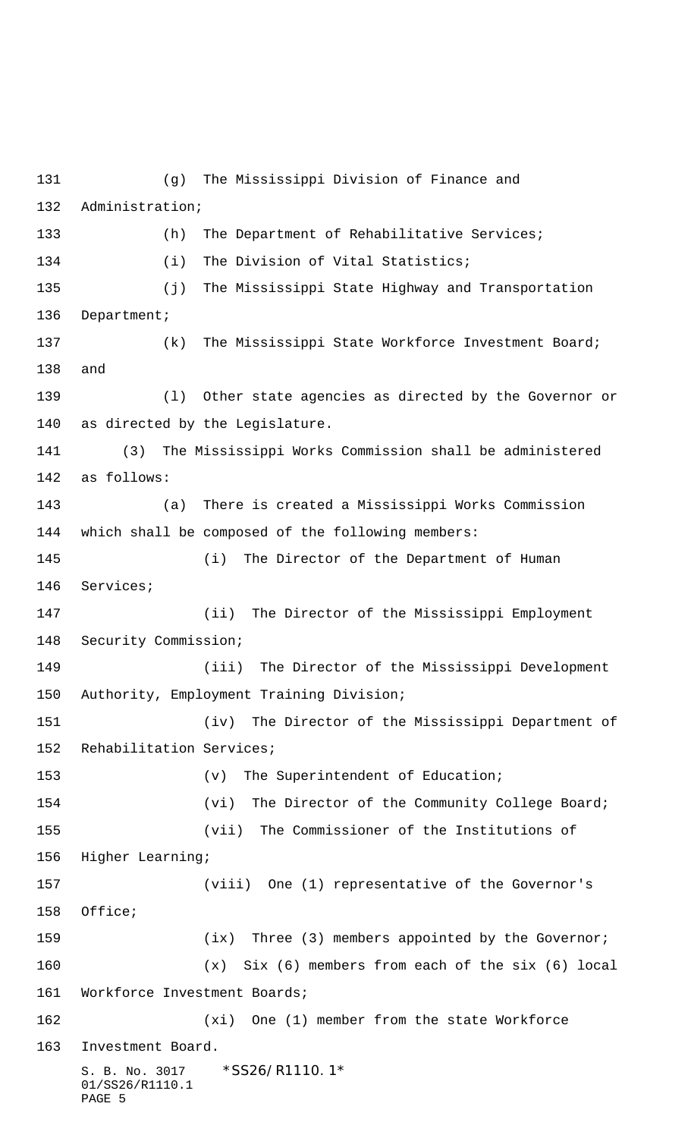S. B. No. 3017 \* SS26/R1110.1\* 01/SS26/R1110.1 PAGE 5 (g) The Mississippi Division of Finance and Administration; 133 (h) The Department of Rehabilitative Services; (i) The Division of Vital Statistics; (j) The Mississippi State Highway and Transportation 136 Department; 137 (k) The Mississippi State Workforce Investment Board; and (l) Other state agencies as directed by the Governor or as directed by the Legislature. (3) The Mississippi Works Commission shall be administered as follows: (a) There is created a Mississippi Works Commission which shall be composed of the following members: (i) The Director of the Department of Human Services; (ii) The Director of the Mississippi Employment Security Commission; (iii) The Director of the Mississippi Development Authority, Employment Training Division; (iv) The Director of the Mississippi Department of Rehabilitation Services; 153 (v) The Superintendent of Education; (vi) The Director of the Community College Board; (vii) The Commissioner of the Institutions of Higher Learning; (viii) One (1) representative of the Governor's Office; 159 (ix) Three (3) members appointed by the Governor; (x) Six (6) members from each of the six (6) local Workforce Investment Boards; (xi) One (1) member from the state Workforce Investment Board.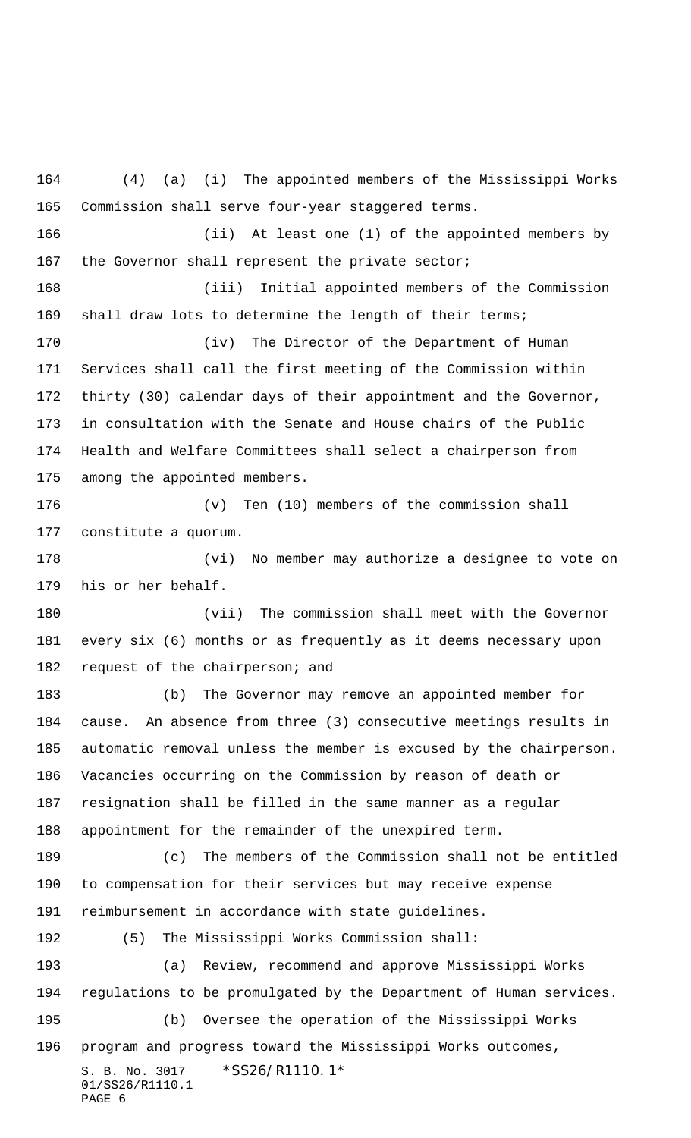S. B. No. 3017 \*SS26/R1110.1\* 01/SS26/R1110.1 PAGE 6 (4) (a) (i) The appointed members of the Mississippi Works Commission shall serve four-year staggered terms. (ii) At least one (1) of the appointed members by 167 the Governor shall represent the private sector; (iii) Initial appointed members of the Commission shall draw lots to determine the length of their terms; (iv) The Director of the Department of Human Services shall call the first meeting of the Commission within thirty (30) calendar days of their appointment and the Governor, in consultation with the Senate and House chairs of the Public Health and Welfare Committees shall select a chairperson from among the appointed members. (v) Ten (10) members of the commission shall constitute a quorum. (vi) No member may authorize a designee to vote on his or her behalf. (vii) The commission shall meet with the Governor every six (6) months or as frequently as it deems necessary upon 182 request of the chairperson; and (b) The Governor may remove an appointed member for cause. An absence from three (3) consecutive meetings results in automatic removal unless the member is excused by the chairperson. Vacancies occurring on the Commission by reason of death or resignation shall be filled in the same manner as a regular appointment for the remainder of the unexpired term. (c) The members of the Commission shall not be entitled to compensation for their services but may receive expense reimbursement in accordance with state guidelines. (5) The Mississippi Works Commission shall: (a) Review, recommend and approve Mississippi Works regulations to be promulgated by the Department of Human services. (b) Oversee the operation of the Mississippi Works program and progress toward the Mississippi Works outcomes,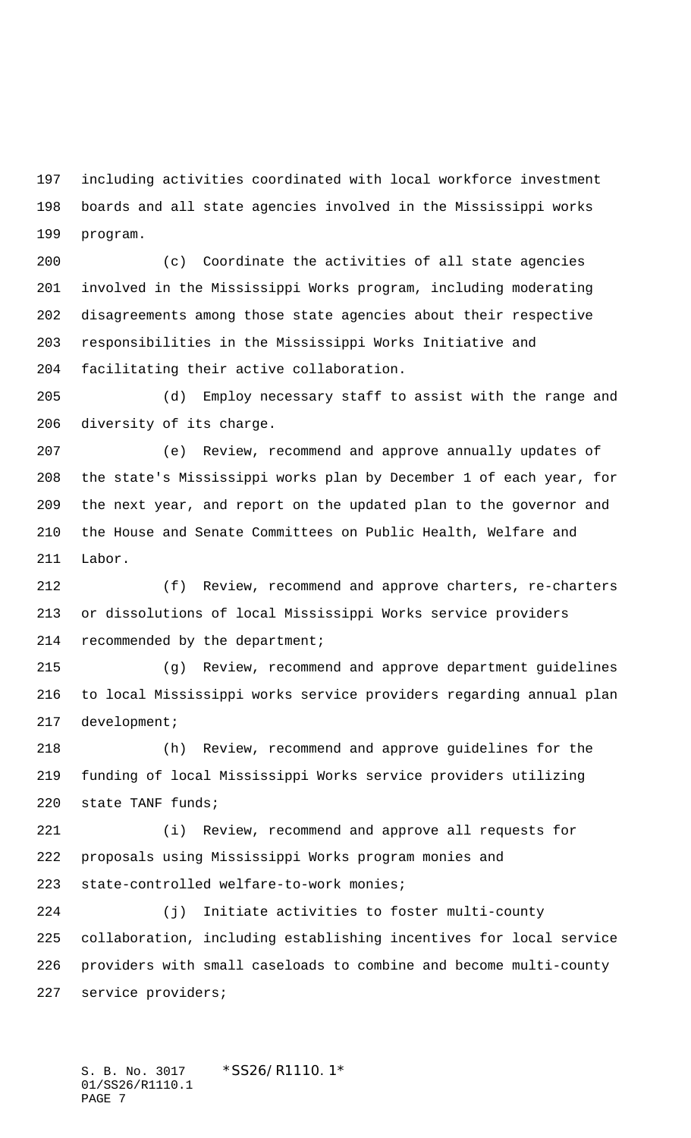including activities coordinated with local workforce investment boards and all state agencies involved in the Mississippi works program.

 (c) Coordinate the activities of all state agencies involved in the Mississippi Works program, including moderating disagreements among those state agencies about their respective responsibilities in the Mississippi Works Initiative and facilitating their active collaboration.

 (d) Employ necessary staff to assist with the range and diversity of its charge.

 (e) Review, recommend and approve annually updates of the state's Mississippi works plan by December 1 of each year, for the next year, and report on the updated plan to the governor and the House and Senate Committees on Public Health, Welfare and Labor.

 (f) Review, recommend and approve charters, re-charters or dissolutions of local Mississippi Works service providers recommended by the department;

 (g) Review, recommend and approve department guidelines to local Mississippi works service providers regarding annual plan development;

 (h) Review, recommend and approve guidelines for the funding of local Mississippi Works service providers utilizing state TANF funds;

 (i) Review, recommend and approve all requests for proposals using Mississippi Works program monies and state-controlled welfare-to-work monies;

 (j) Initiate activities to foster multi-county collaboration, including establishing incentives for local service providers with small caseloads to combine and become multi-county service providers;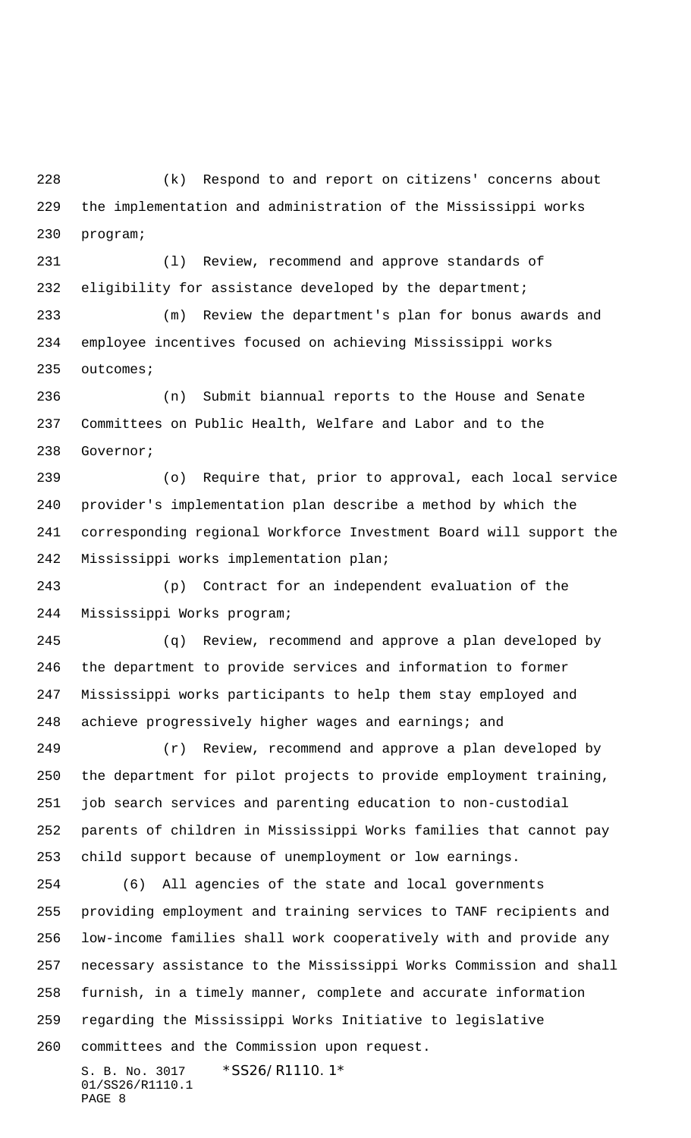(k) Respond to and report on citizens' concerns about the implementation and administration of the Mississippi works program;

 (l) Review, recommend and approve standards of eligibility for assistance developed by the department;

 (m) Review the department's plan for bonus awards and employee incentives focused on achieving Mississippi works outcomes;

 (n) Submit biannual reports to the House and Senate Committees on Public Health, Welfare and Labor and to the Governor;

 (o) Require that, prior to approval, each local service provider's implementation plan describe a method by which the corresponding regional Workforce Investment Board will support the Mississippi works implementation plan;

 (p) Contract for an independent evaluation of the Mississippi Works program;

 (q) Review, recommend and approve a plan developed by the department to provide services and information to former Mississippi works participants to help them stay employed and 248 achieve progressively higher wages and earnings; and

 (r) Review, recommend and approve a plan developed by the department for pilot projects to provide employment training, job search services and parenting education to non-custodial parents of children in Mississippi Works families that cannot pay child support because of unemployment or low earnings.

 (6) All agencies of the state and local governments providing employment and training services to TANF recipients and low-income families shall work cooperatively with and provide any necessary assistance to the Mississippi Works Commission and shall furnish, in a timely manner, complete and accurate information regarding the Mississippi Works Initiative to legislative committees and the Commission upon request.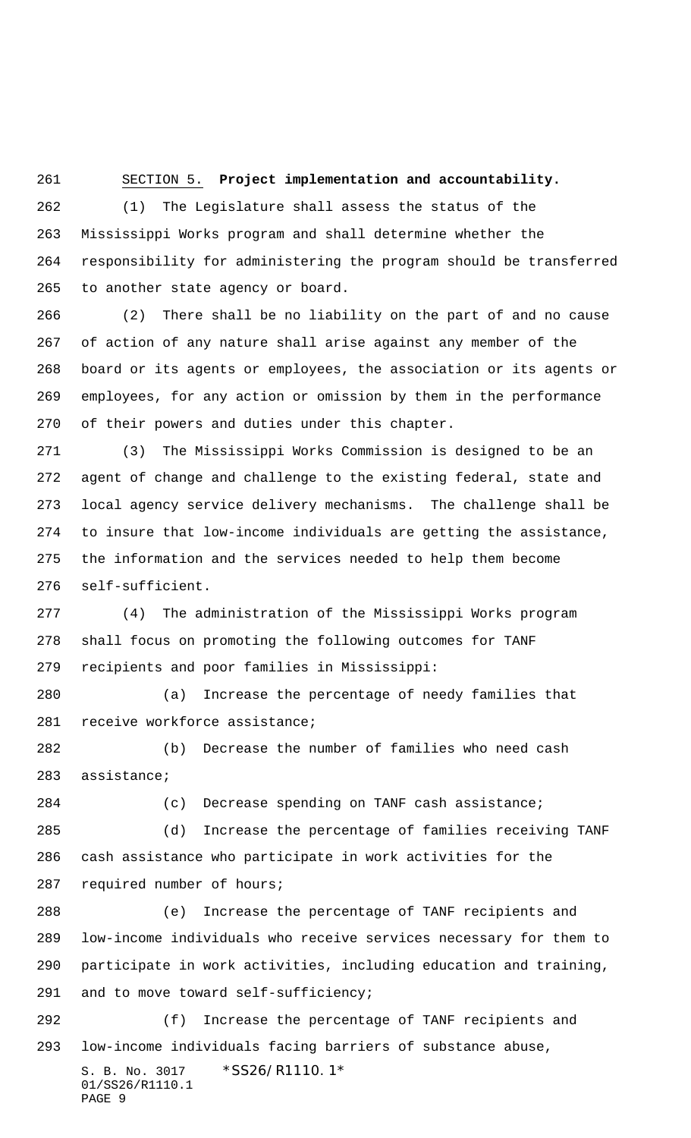## SECTION 5. **Project implementation and accountability.**

 (1) The Legislature shall assess the status of the Mississippi Works program and shall determine whether the responsibility for administering the program should be transferred to another state agency or board.

 (2) There shall be no liability on the part of and no cause of action of any nature shall arise against any member of the board or its agents or employees, the association or its agents or employees, for any action or omission by them in the performance of their powers and duties under this chapter.

 (3) The Mississippi Works Commission is designed to be an agent of change and challenge to the existing federal, state and local agency service delivery mechanisms. The challenge shall be to insure that low-income individuals are getting the assistance, the information and the services needed to help them become self-sufficient.

 (4) The administration of the Mississippi Works program shall focus on promoting the following outcomes for TANF recipients and poor families in Mississippi:

 (a) Increase the percentage of needy families that receive workforce assistance;

 (b) Decrease the number of families who need cash assistance;

(c) Decrease spending on TANF cash assistance;

 (d) Increase the percentage of families receiving TANF cash assistance who participate in work activities for the required number of hours;

 (e) Increase the percentage of TANF recipients and low-income individuals who receive services necessary for them to participate in work activities, including education and training, and to move toward self-sufficiency;

S. B. No. 3017 \* SS26/R1110.1\* 01/SS26/R1110.1 PAGE 9 (f) Increase the percentage of TANF recipients and low-income individuals facing barriers of substance abuse,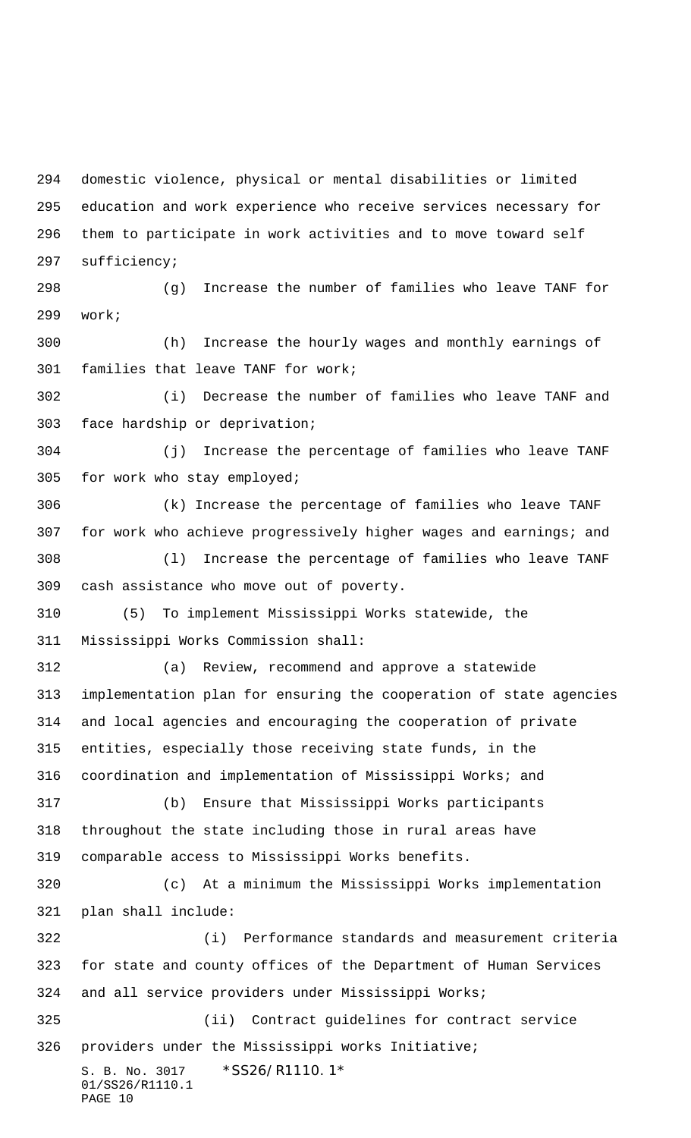domestic violence, physical or mental disabilities or limited education and work experience who receive services necessary for them to participate in work activities and to move toward self sufficiency;

 (g) Increase the number of families who leave TANF for work;

 (h) Increase the hourly wages and monthly earnings of families that leave TANF for work;

 (i) Decrease the number of families who leave TANF and face hardship or deprivation;

 (j) Increase the percentage of families who leave TANF for work who stay employed;

 (k) Increase the percentage of families who leave TANF for work who achieve progressively higher wages and earnings; and

 (l) Increase the percentage of families who leave TANF cash assistance who move out of poverty.

 (5) To implement Mississippi Works statewide, the Mississippi Works Commission shall:

 (a) Review, recommend and approve a statewide implementation plan for ensuring the cooperation of state agencies and local agencies and encouraging the cooperation of private entities, especially those receiving state funds, in the coordination and implementation of Mississippi Works; and (b) Ensure that Mississippi Works participants

 throughout the state including those in rural areas have comparable access to Mississippi Works benefits.

 (c) At a minimum the Mississippi Works implementation plan shall include:

 (i) Performance standards and measurement criteria for state and county offices of the Department of Human Services and all service providers under Mississippi Works;

S. B. No. 3017 \* SS26/R1110.1\* 01/SS26/R1110.1 (ii) Contract guidelines for contract service providers under the Mississippi works Initiative;

```
PAGE 10
```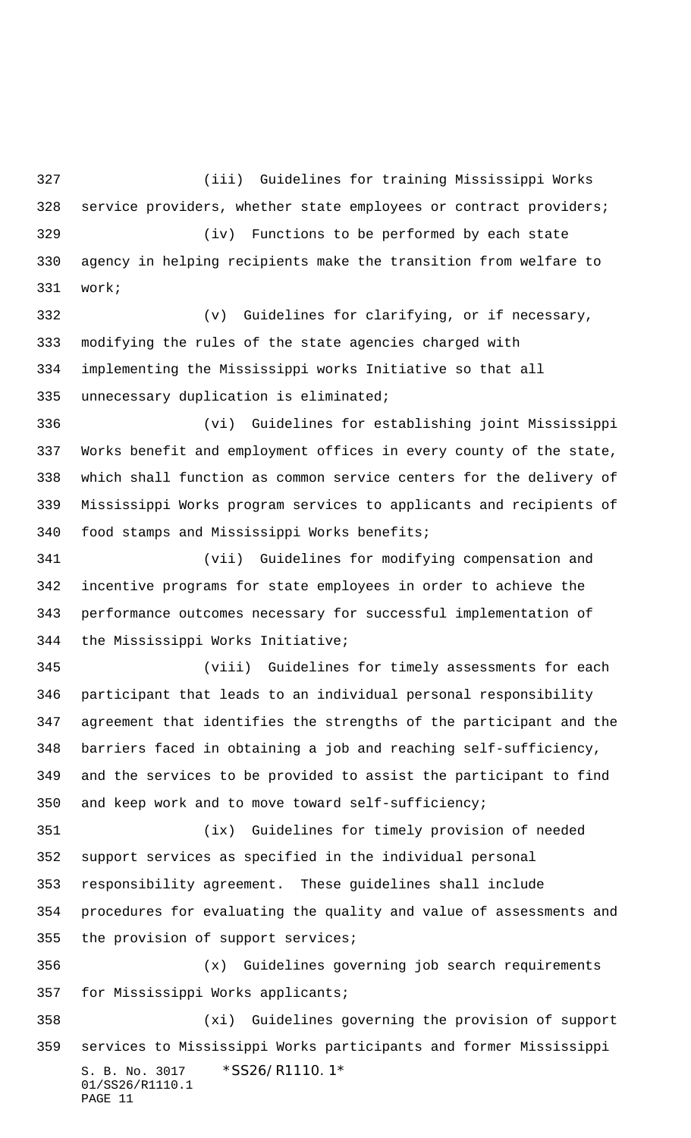(iii) Guidelines for training Mississippi Works service providers, whether state employees or contract providers; (iv) Functions to be performed by each state agency in helping recipients make the transition from welfare to work;

 (v) Guidelines for clarifying, or if necessary, modifying the rules of the state agencies charged with implementing the Mississippi works Initiative so that all unnecessary duplication is eliminated;

 (vi) Guidelines for establishing joint Mississippi Works benefit and employment offices in every county of the state, which shall function as common service centers for the delivery of Mississippi Works program services to applicants and recipients of food stamps and Mississippi Works benefits;

 (vii) Guidelines for modifying compensation and incentive programs for state employees in order to achieve the performance outcomes necessary for successful implementation of the Mississippi Works Initiative;

 (viii) Guidelines for timely assessments for each participant that leads to an individual personal responsibility agreement that identifies the strengths of the participant and the barriers faced in obtaining a job and reaching self-sufficiency, and the services to be provided to assist the participant to find and keep work and to move toward self-sufficiency;

 (ix) Guidelines for timely provision of needed support services as specified in the individual personal responsibility agreement. These guidelines shall include procedures for evaluating the quality and value of assessments and the provision of support services;

 (x) Guidelines governing job search requirements for Mississippi Works applicants;

S. B. No. 3017 \* SS26/R1110.1\* 01/SS26/R1110.1 PAGE 11 (xi) Guidelines governing the provision of support services to Mississippi Works participants and former Mississippi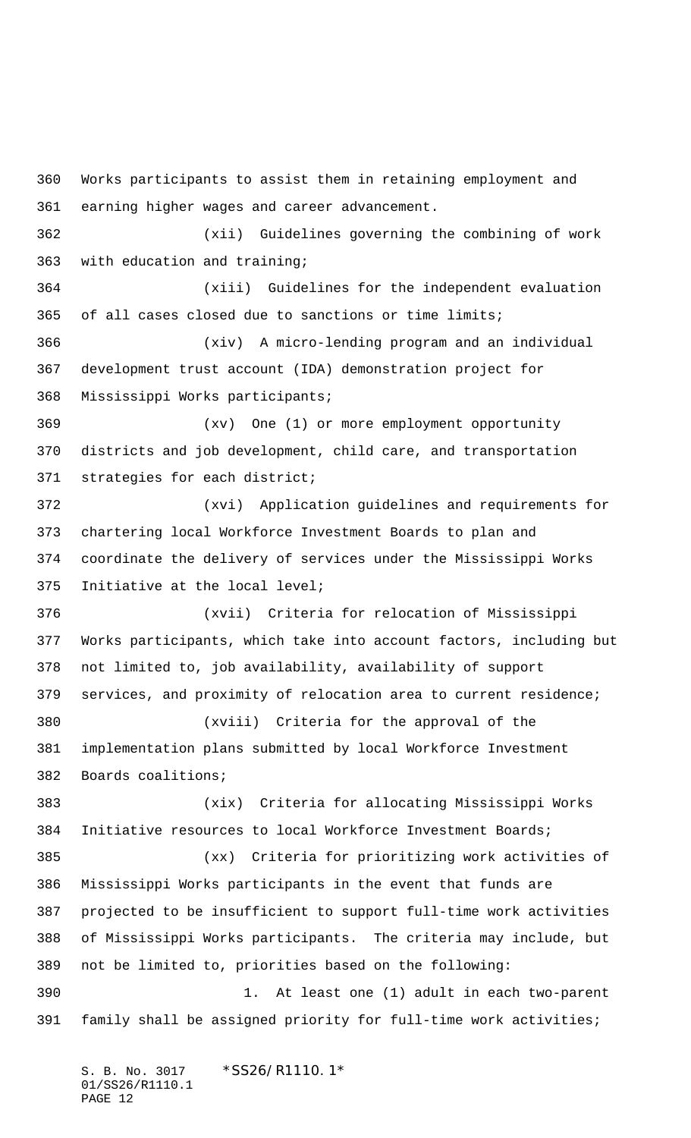Works participants to assist them in retaining employment and earning higher wages and career advancement. (xii) Guidelines governing the combining of work with education and training; (xiii) Guidelines for the independent evaluation of all cases closed due to sanctions or time limits; (xiv) A micro-lending program and an individual development trust account (IDA) demonstration project for Mississippi Works participants; (xv) One (1) or more employment opportunity districts and job development, child care, and transportation strategies for each district; (xvi) Application guidelines and requirements for chartering local Workforce Investment Boards to plan and coordinate the delivery of services under the Mississippi Works Initiative at the local level; (xvii) Criteria for relocation of Mississippi Works participants, which take into account factors, including but not limited to, job availability, availability of support services, and proximity of relocation area to current residence; (xviii) Criteria for the approval of the implementation plans submitted by local Workforce Investment Boards coalitions; (xix) Criteria for allocating Mississippi Works Initiative resources to local Workforce Investment Boards; (xx) Criteria for prioritizing work activities of Mississippi Works participants in the event that funds are projected to be insufficient to support full-time work activities of Mississippi Works participants. The criteria may include, but not be limited to, priorities based on the following: 1. At least one (1) adult in each two-parent family shall be assigned priority for full-time work activities;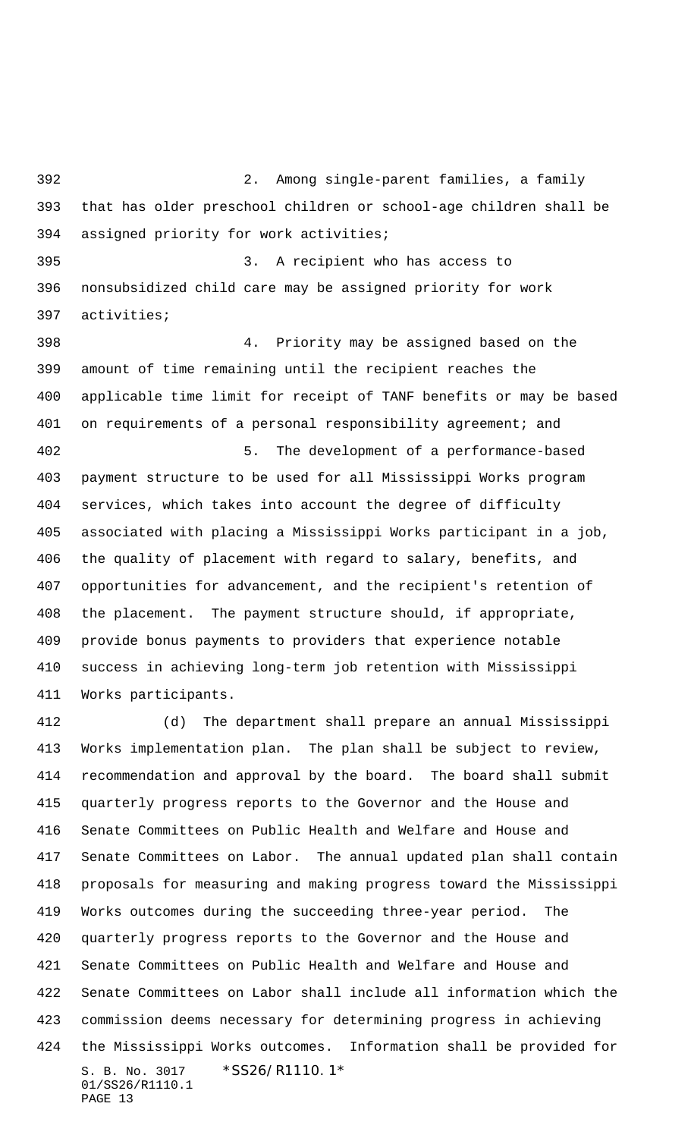2. Among single-parent families, a family that has older preschool children or school-age children shall be assigned priority for work activities; 3. A recipient who has access to nonsubsidized child care may be assigned priority for work activities; 4. Priority may be assigned based on the amount of time remaining until the recipient reaches the applicable time limit for receipt of TANF benefits or may be based 401 on requirements of a personal responsibility agreement; and 5. The development of a performance-based payment structure to be used for all Mississippi Works program services, which takes into account the degree of difficulty associated with placing a Mississippi Works participant in a job, the quality of placement with regard to salary, benefits, and opportunities for advancement, and the recipient's retention of the placement. The payment structure should, if appropriate, provide bonus payments to providers that experience notable success in achieving long-term job retention with Mississippi Works participants.

S. B. No. 3017 \* SS26/R1110.1\* 01/SS26/R1110.1 PAGE 13 (d) The department shall prepare an annual Mississippi Works implementation plan. The plan shall be subject to review, recommendation and approval by the board. The board shall submit quarterly progress reports to the Governor and the House and Senate Committees on Public Health and Welfare and House and Senate Committees on Labor. The annual updated plan shall contain proposals for measuring and making progress toward the Mississippi Works outcomes during the succeeding three-year period. The quarterly progress reports to the Governor and the House and Senate Committees on Public Health and Welfare and House and Senate Committees on Labor shall include all information which the commission deems necessary for determining progress in achieving the Mississippi Works outcomes. Information shall be provided for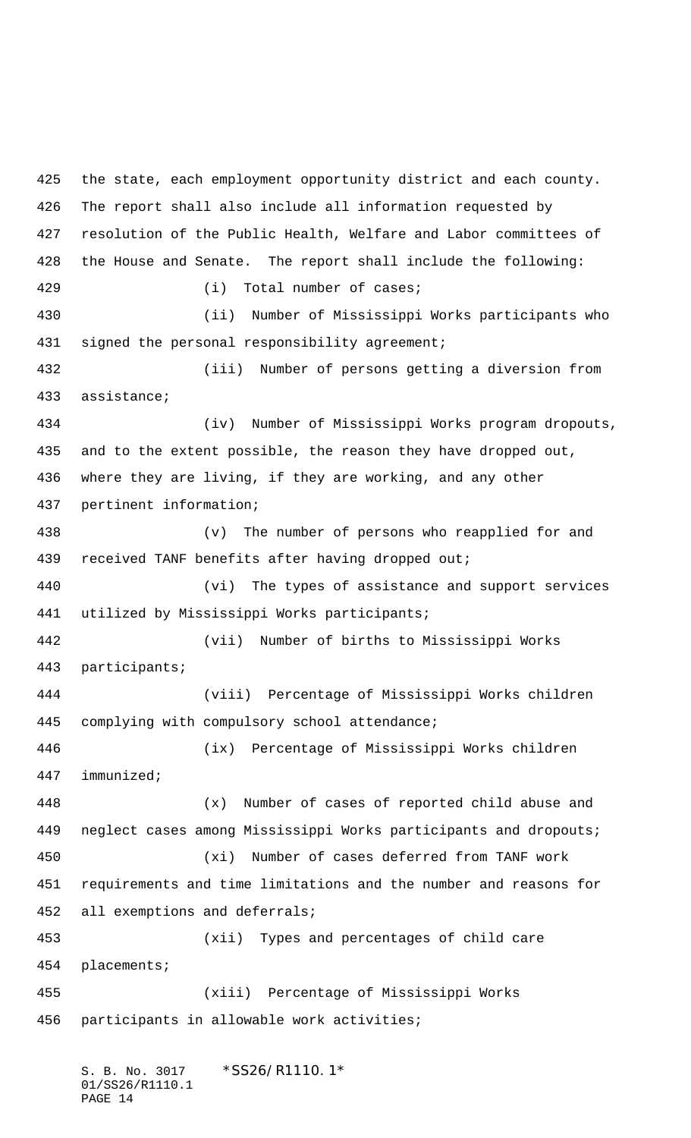the state, each employment opportunity district and each county. The report shall also include all information requested by resolution of the Public Health, Welfare and Labor committees of the House and Senate. The report shall include the following: (i) Total number of cases; (ii) Number of Mississippi Works participants who 431 signed the personal responsibility agreement; (iii) Number of persons getting a diversion from assistance; (iv) Number of Mississippi Works program dropouts, and to the extent possible, the reason they have dropped out, where they are living, if they are working, and any other pertinent information; (v) The number of persons who reapplied for and received TANF benefits after having dropped out; (vi) The types of assistance and support services utilized by Mississippi Works participants; (vii) Number of births to Mississippi Works participants; (viii) Percentage of Mississippi Works children complying with compulsory school attendance; (ix) Percentage of Mississippi Works children immunized; (x) Number of cases of reported child abuse and neglect cases among Mississippi Works participants and dropouts; (xi) Number of cases deferred from TANF work requirements and time limitations and the number and reasons for all exemptions and deferrals; (xii) Types and percentages of child care placements; (xiii) Percentage of Mississippi Works participants in allowable work activities;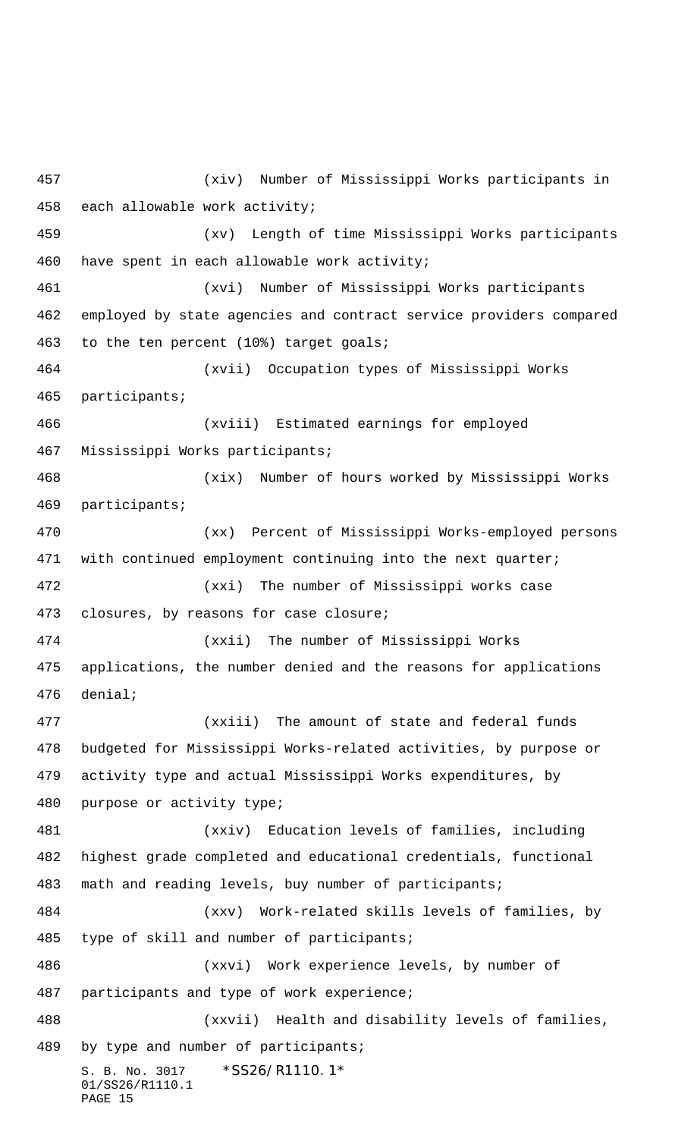S. B. No. 3017 \*SS26/R1110.1\* 01/SS26/R1110.1 PAGE 15 (xiv) Number of Mississippi Works participants in each allowable work activity; (xv) Length of time Mississippi Works participants have spent in each allowable work activity; (xvi) Number of Mississippi Works participants employed by state agencies and contract service providers compared to the ten percent (10%) target goals; (xvii) Occupation types of Mississippi Works participants; (xviii) Estimated earnings for employed Mississippi Works participants; (xix) Number of hours worked by Mississippi Works participants; (xx) Percent of Mississippi Works-employed persons with continued employment continuing into the next quarter; (xxi) The number of Mississippi works case closures, by reasons for case closure; (xxii) The number of Mississippi Works applications, the number denied and the reasons for applications denial; (xxiii) The amount of state and federal funds budgeted for Mississippi Works-related activities, by purpose or activity type and actual Mississippi Works expenditures, by purpose or activity type; (xxiv) Education levels of families, including highest grade completed and educational credentials, functional math and reading levels, buy number of participants; (xxv) Work-related skills levels of families, by type of skill and number of participants; (xxvi) Work experience levels, by number of participants and type of work experience; (xxvii) Health and disability levels of families, by type and number of participants;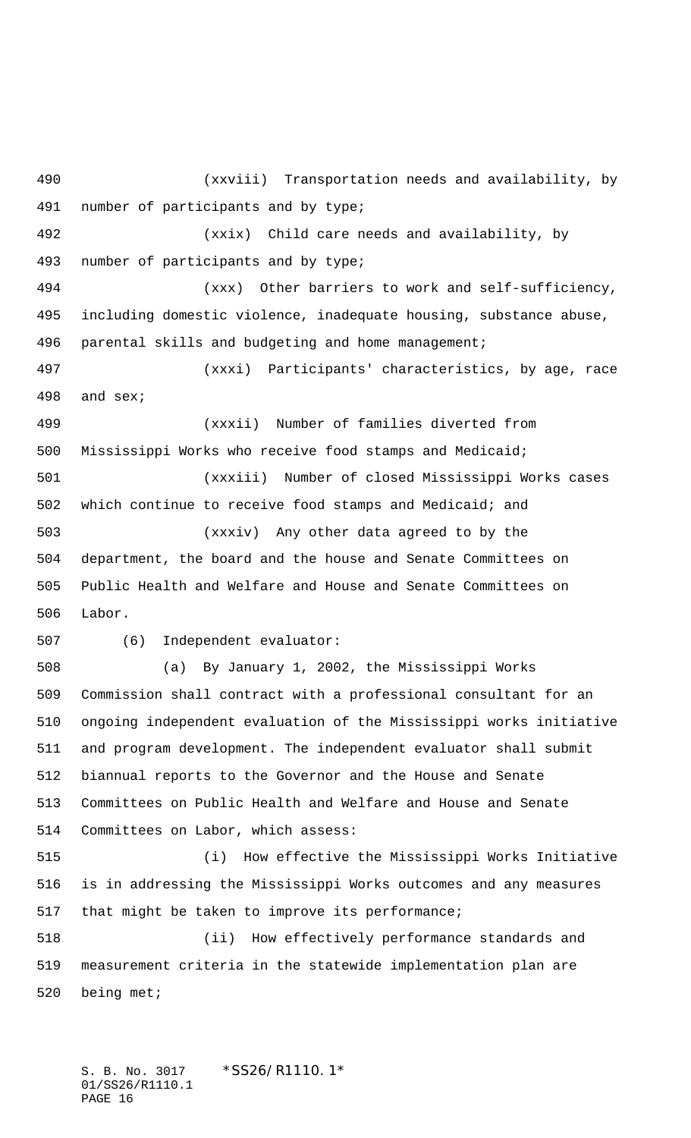(xxviii) Transportation needs and availability, by number of participants and by type; (xxix) Child care needs and availability, by number of participants and by type; (xxx) Other barriers to work and self-sufficiency, including domestic violence, inadequate housing, substance abuse, parental skills and budgeting and home management; (xxxi) Participants' characteristics, by age, race and sex; (xxxii) Number of families diverted from Mississippi Works who receive food stamps and Medicaid; (xxxiii) Number of closed Mississippi Works cases which continue to receive food stamps and Medicaid; and (xxxiv) Any other data agreed to by the department, the board and the house and Senate Committees on Public Health and Welfare and House and Senate Committees on Labor. (6) Independent evaluator: (a) By January 1, 2002, the Mississippi Works Commission shall contract with a professional consultant for an ongoing independent evaluation of the Mississippi works initiative and program development. The independent evaluator shall submit biannual reports to the Governor and the House and Senate Committees on Public Health and Welfare and House and Senate Committees on Labor, which assess: (i) How effective the Mississippi Works Initiative is in addressing the Mississippi Works outcomes and any measures that might be taken to improve its performance; (ii) How effectively performance standards and measurement criteria in the statewide implementation plan are being met;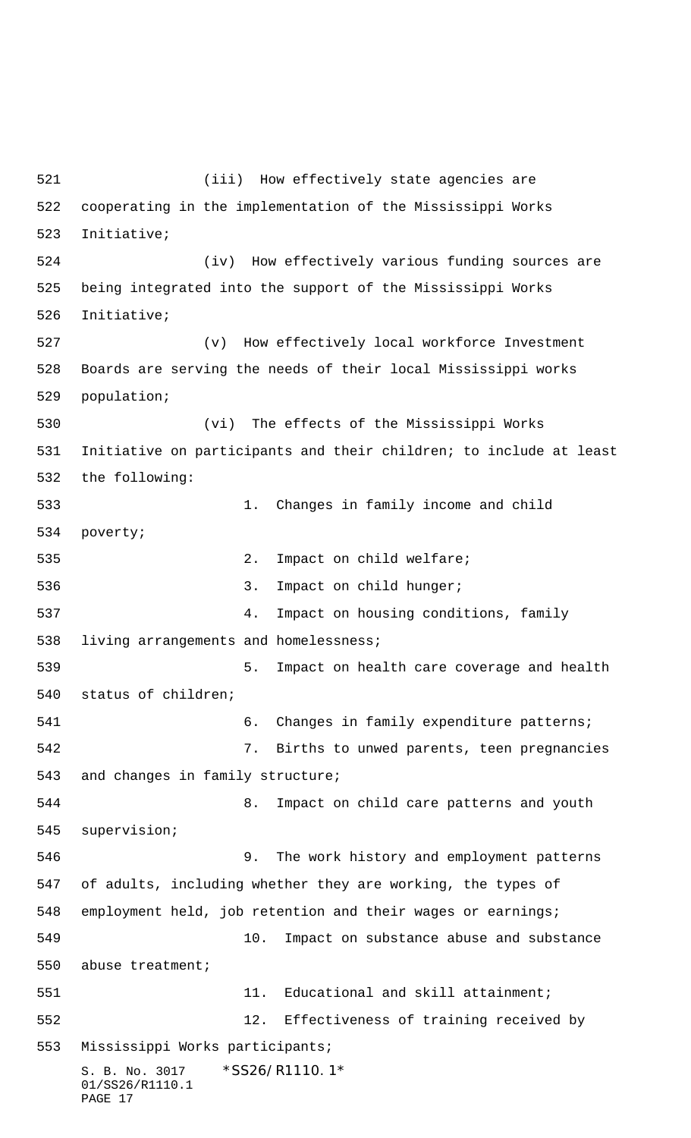S. B. No. 3017 \* SS26/R1110.1\* 01/SS26/R1110.1 PAGE 17 (iii) How effectively state agencies are cooperating in the implementation of the Mississippi Works Initiative; (iv) How effectively various funding sources are being integrated into the support of the Mississippi Works Initiative; (v) How effectively local workforce Investment Boards are serving the needs of their local Mississippi works population; (vi) The effects of the Mississippi Works Initiative on participants and their children; to include at least the following: 1. Changes in family income and child poverty; 2. Impact on child welfare; 536 3. Impact on child hunger; 4. Impact on housing conditions, family living arrangements and homelessness; 5. Impact on health care coverage and health status of children; 6. Changes in family expenditure patterns; 7. Births to unwed parents, teen pregnancies and changes in family structure; 8. Impact on child care patterns and youth supervision; 9. The work history and employment patterns of adults, including whether they are working, the types of employment held, job retention and their wages or earnings; 10. Impact on substance abuse and substance abuse treatment; 551 11. Educational and skill attainment; 12. Effectiveness of training received by Mississippi Works participants;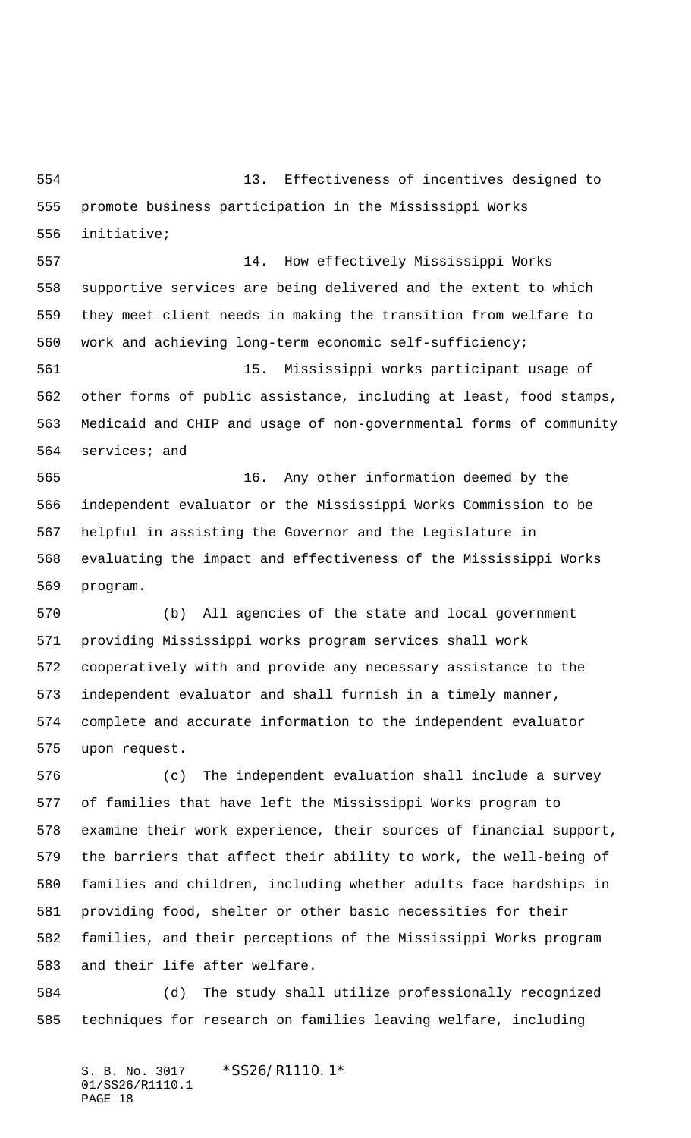13. Effectiveness of incentives designed to promote business participation in the Mississippi Works initiative;

 14. How effectively Mississippi Works supportive services are being delivered and the extent to which they meet client needs in making the transition from welfare to work and achieving long-term economic self-sufficiency;

 15. Mississippi works participant usage of other forms of public assistance, including at least, food stamps, Medicaid and CHIP and usage of non-governmental forms of community services; and

 16. Any other information deemed by the independent evaluator or the Mississippi Works Commission to be helpful in assisting the Governor and the Legislature in evaluating the impact and effectiveness of the Mississippi Works program.

 (b) All agencies of the state and local government providing Mississippi works program services shall work cooperatively with and provide any necessary assistance to the independent evaluator and shall furnish in a timely manner, complete and accurate information to the independent evaluator upon request.

 (c) The independent evaluation shall include a survey of families that have left the Mississippi Works program to examine their work experience, their sources of financial support, the barriers that affect their ability to work, the well-being of families and children, including whether adults face hardships in providing food, shelter or other basic necessities for their families, and their perceptions of the Mississippi Works program and their life after welfare.

 (d) The study shall utilize professionally recognized techniques for research on families leaving welfare, including